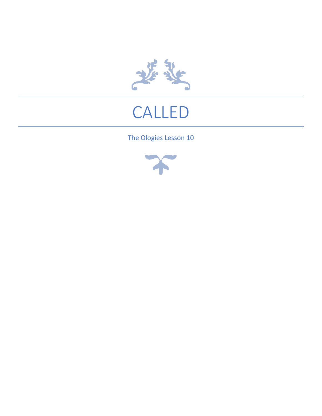

# CALLED

### The Ologies Lesson 10

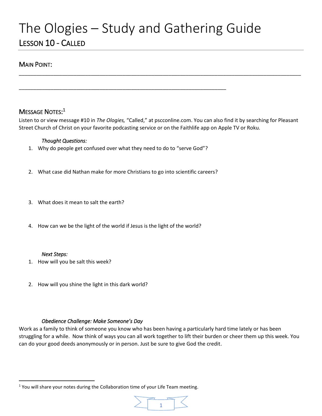### The Ologies – Study and Gathering Guide LESSON 10 - CALLED

#### MAIN POINT:

### Message Notes:<sup>1</sup>

Listen to or view message #10 in *The Ologies,* "Called," at pscconline.com. You can also find it by searching for Pleasant Street Church of Christ on your favorite podcasting service or on the Faithlife app on Apple TV or Roku.

\_\_\_\_\_\_\_\_\_\_\_\_\_\_\_\_\_\_\_\_\_\_\_\_\_\_\_\_\_\_\_\_\_\_\_\_\_\_\_\_\_\_\_\_\_\_\_\_\_\_\_\_\_\_\_\_\_\_\_\_\_\_\_\_\_\_\_\_\_\_\_\_\_\_\_\_\_\_\_\_\_\_\_\_\_\_\_\_\_\_\_\_\_\_\_\_\_\_

#### *Thought Questions:*

1. Why do people get confused over what they need to do to "serve God"?

\_\_\_\_\_\_\_\_\_\_\_\_\_\_\_\_\_\_\_\_\_\_\_\_\_\_\_\_\_\_\_\_\_\_\_\_\_\_\_\_\_\_\_\_\_\_\_\_\_\_\_\_\_\_\_\_\_\_\_\_\_\_\_\_\_\_\_\_\_\_\_\_

- 2. What case did Nathan make for more Christians to go into scientific careers?
- 3. What does it mean to salt the earth?
- 4. How can we be the light of the world if Jesus is the light of the world?

#### *Next Steps:*

- 1. How will you be salt this week?
- 2. How will you shine the light in this dark world?

#### *Obedience Challenge: Make Someone's Day*

Work as a family to think of someone you know who has been having a particularly hard time lately or has been struggling for a while. Now think of ways you can all work together to lift their burden or cheer them up this week. You can do your good deeds anonymously or in person. Just be sure to give God the credit.

<sup>&</sup>lt;sup>1</sup> You will share your notes during the Collaboration time of your Life Team meeting.

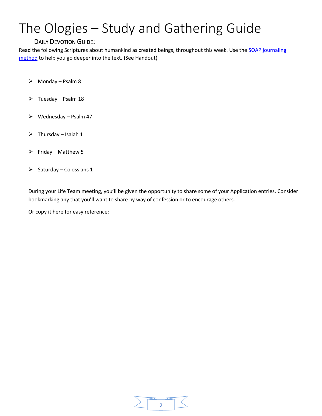#### DAILY DEVOTION GUIDE:

Read the following Scriptures about humankind as created beings, throughout this week. Use the SOAP journaling [method](https://www.olivetree.com/blog/soap-cordeiro/) to help you go deeper into the text. (See Handout)

- ➢ Monday Psalm 8
- ➢ Tuesday Psalm 18
- $\triangleright$  Wednesday Psalm 47
- $\triangleright$  Thursday Isaiah 1
- $\triangleright$  Friday Matthew 5
- $\triangleright$  Saturday Colossians 1

During your Life Team meeting, you'll be given the opportunity to share some of your Application entries. Consider bookmarking any that you'll want to share by way of confession or to encourage others.

Or copy it here for easy reference:

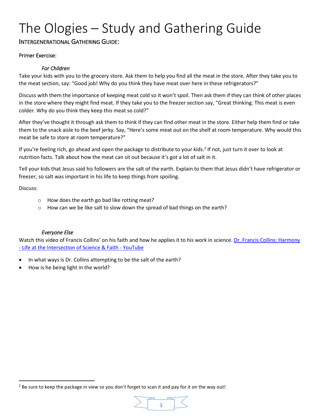### INTERGENERATIONAL GATHERING GUIDE:

#### Primer Exercise:

#### *For Children*

Take your kids with you to the grocery store. Ask them to help you find all the meat in the store. After they take you to the meat section, say: "Good job! Why do you think they have meat over here in these refrigerators?"

Discuss with them the importance of keeping meat cold so it won't spoil. Then ask them if they can think of other places in the store where they might find meat. If they take you to the freezer section say, "Great thinking. This meat is even colder. Why do you think they keep this meat so cold?"

After they've thought it through ask them to think if they can find other meat in the store. Either help them find or take them to the snack aisle to the beef jerky. Say, "Here's some meat out on the shelf at room temperature. Why would this meat be safe to store at room temperature?"

If you're feeling rich, go ahead and open the package to distribute to your kids.<sup>2</sup> If not, just turn it over to look at nutrition facts. Talk about how the meat can sit out because it's got a lot of salt in it.

Tell your kids that Jesus said his followers are the salt of the earth. Explain to them that Jesus didn't have refrigerator or freezer, so salt was important in his life to keep things from spoiling.

Discuss:

- o How does the earth go bad like rotting meat?
- o How can we be like salt to slow down the spread of bad things on the earth?

#### *Everyone Else*

Watch this video of Francis Collins' on his faith and how he applies it to his work in science. Dr. Francis Collins: Harmony - [Life at the Intersection of Science & Faith -](https://www.youtube.com/watch?v=FYvi8qwp7Og) YouTube

- In what ways is Dr. Collins attempting to be the salt of the earth?
- How is he being light in the world?

 $2$  Be sure to keep the package in view so you don't forget to scan it and pay for it on the way out!

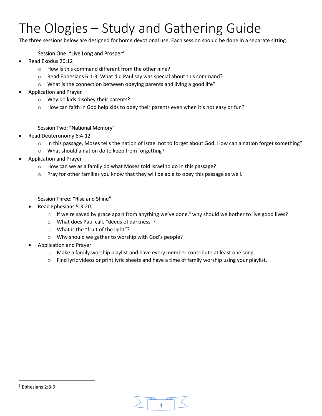The three sessions below are designed for home devotional use. Each session should be done in a separate sitting.

#### Session One: "Live Long and Prosper"

- Read Exodus 20:12
	- o How is this command different from the other nine?
	- o Read Ephesians 6:1-3. What did Paul say was special about this command?
	- o What is the connection between obeying parents and living a good life?
- Application and Prayer
	- o Why do kids disobey their parents?
	- $\circ$  How can faith in God help kids to obey their parents even when it's not easy or fun?

#### Session Two: "National Memory"

- Read Deuteronomy 6:4-12
	- o In this passage, Moses tells the nation of Israel not to forget about God. How can a nation forget something?
	- o What should a nation do to keep from forgetting?
- Application and Prayer
	- o How can we as a family do what Moses told Israel to do in this passage?
	- $\circ$  Pray for other families you know that they will be able to obey this passage as well.

#### Session Three: "Rise and Shine"

- Read Ephesians 5:3-20:
	- $\circ$  If we're saved by grace apart from anything we've done,<sup>3</sup> why should we bother to live good lives?
	- o What does Paul call, "deeds of darkness"?
	- o What is the "fruit of the light"?
	- o Why should we gather to worship with God's people?
- Application and Prayer
	- $\circ$  Make a family worship playlist and have every member contribute at least one song.
	- $\circ$  Find lyric videos or print lyric sheets and have a time of family worship using your playlist.

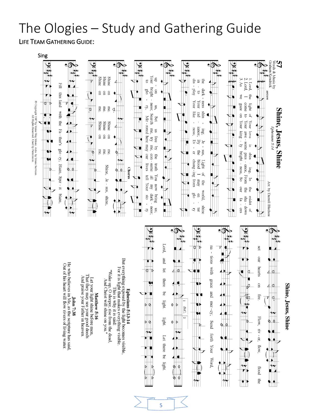LIFE TEAM GATHERING GUIDE:







That they may see your good deeds<br>And praise your Father in heaven. Let your light shine before men.

Matthew 5:16

And Christ will shine on you."

5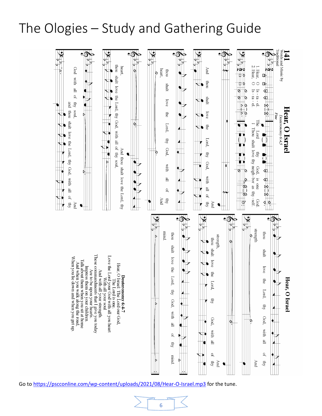

Go to<https://pscconline.com/wp-content/uploads/2021/08/Hear-O-Israel.mp3> for the tune.

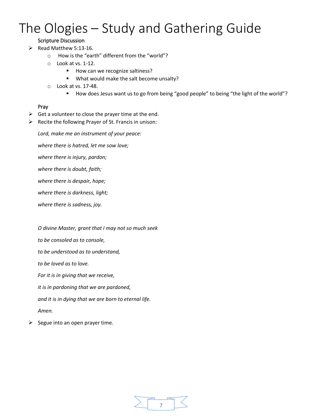#### Scripture Discussion

 $\triangleright$  Read Matthew 5:13-16.

- o How is the "earth" different from the "world"?
- o Look at vs. 1-12.
	- How can we recognize saltiness?
	- What would make the salt become unsalty?
- o Look at vs. 17-48.
	- How does Jesus want us to go from being "good people" to being "the light of the world"?

#### Pray

- $\triangleright$  Get a volunteer to close the prayer time at the end.
- ➢ Recite the following Prayer of St. Francis in unison:

*Lord, make me an instrument of your peace:*

*where there is hatred, let me sow love;*

*where there is injury, pardon;*

*where there is doubt, faith;*

*where there is despair, hope;*

*where there is darkness, light;*

*where there is sadness, joy.*

*O divine Master, grant that I may not so much seek*

*to be consoled as to console,*

*to be understood as to understand,*

*to be loved as to love.*

*For it is in giving that we receive,*

*it is in pardoning that we are pardoned,*

*and it is in dying that we are born to eternal life.*

*Amen.*

 $\triangleright$  Segue into an open prayer time.